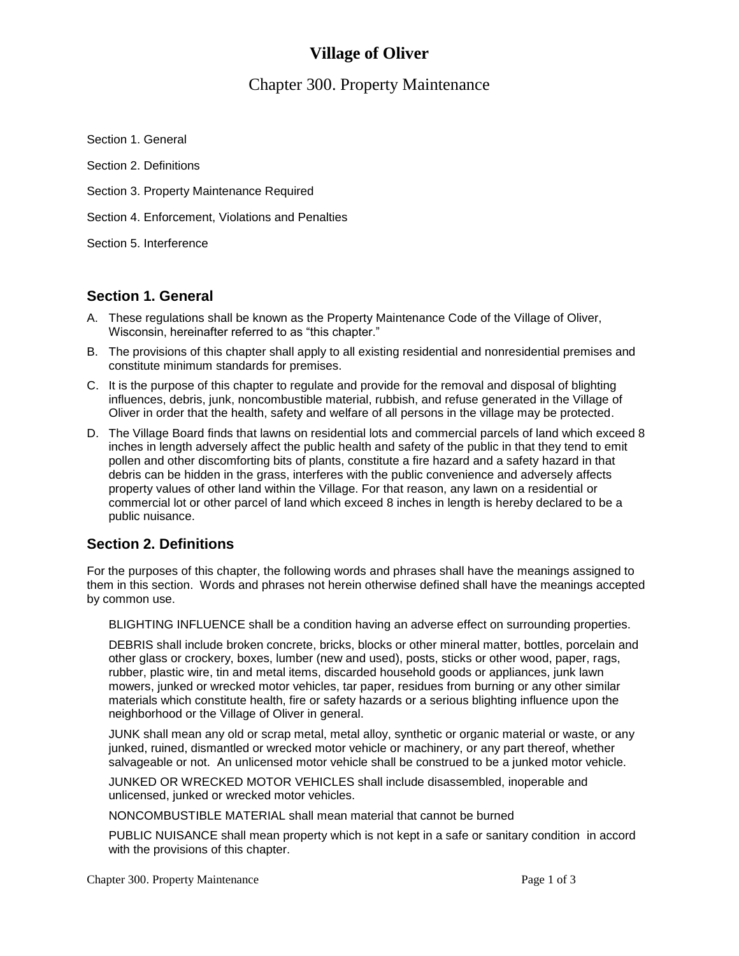# **Village of Oliver**

# Chapter 300. Property Maintenance

Section 1. General

Section 2. Definitions

Section 3. Property Maintenance Required

Section 4. Enforcement, Violations and Penalties

Section 5. Interference

### **Section 1. General**

- A. These regulations shall be known as the Property Maintenance Code of the Village of Oliver, Wisconsin, hereinafter referred to as "this chapter."
- B. The provisions of this chapter shall apply to all existing residential and nonresidential premises and constitute minimum standards for premises.
- C. It is the purpose of this chapter to regulate and provide for the removal and disposal of blighting influences, debris, junk, noncombustible material, rubbish, and refuse generated in the Village of Oliver in order that the health, safety and welfare of all persons in the village may be protected.
- D. The Village Board finds that lawns on residential lots and commercial parcels of land which exceed 8 inches in length adversely affect the public health and safety of the public in that they tend to emit pollen and other discomforting bits of plants, constitute a fire hazard and a safety hazard in that debris can be hidden in the grass, interferes with the public convenience and adversely affects property values of other land within the Village. For that reason, any lawn on a residential or commercial lot or other parcel of land which exceed 8 inches in length is hereby declared to be a public nuisance.

### **Section 2. Definitions**

For the purposes of this chapter, the following words and phrases shall have the meanings assigned to them in this section. Words and phrases not herein otherwise defined shall have the meanings accepted by common use.

BLIGHTING INFLUENCE shall be a condition having an adverse effect on surrounding properties.

DEBRIS shall include broken concrete, bricks, blocks or other mineral matter, bottles, porcelain and other glass or crockery, boxes, lumber (new and used), posts, sticks or other wood, paper, rags, rubber, plastic wire, tin and metal items, discarded household goods or appliances, junk lawn mowers, junked or wrecked motor vehicles, tar paper, residues from burning or any other similar materials which constitute health, fire or safety hazards or a serious blighting influence upon the neighborhood or the Village of Oliver in general.

JUNK shall mean any old or scrap metal, metal alloy, synthetic or organic material or waste, or any junked, ruined, dismantled or wrecked motor vehicle or machinery, or any part thereof, whether salvageable or not. An unlicensed motor vehicle shall be construed to be a junked motor vehicle.

JUNKED OR WRECKED MOTOR VEHICLES shall include disassembled, inoperable and unlicensed, junked or wrecked motor vehicles.

NONCOMBUSTIBLE MATERIAL shall mean material that cannot be burned

PUBLIC NUISANCE shall mean property which is not kept in a safe or sanitary condition in accord with the provisions of this chapter.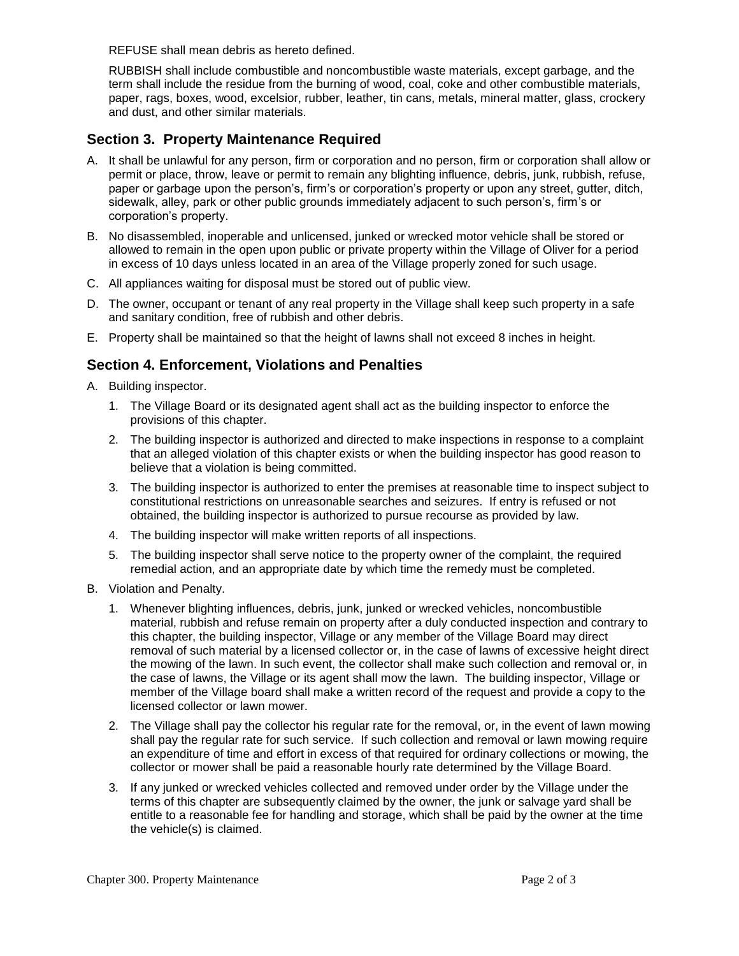REFUSE shall mean debris as hereto defined.

RUBBISH shall include combustible and noncombustible waste materials, except garbage, and the term shall include the residue from the burning of wood, coal, coke and other combustible materials, paper, rags, boxes, wood, excelsior, rubber, leather, tin cans, metals, mineral matter, glass, crockery and dust, and other similar materials.

### **Section 3. Property Maintenance Required**

- A. It shall be unlawful for any person, firm or corporation and no person, firm or corporation shall allow or permit or place, throw, leave or permit to remain any blighting influence, debris, junk, rubbish, refuse, paper or garbage upon the person's, firm's or corporation's property or upon any street, gutter, ditch, sidewalk, alley, park or other public grounds immediately adjacent to such person's, firm's or corporation's property.
- B. No disassembled, inoperable and unlicensed, junked or wrecked motor vehicle shall be stored or allowed to remain in the open upon public or private property within the Village of Oliver for a period in excess of 10 days unless located in an area of the Village properly zoned for such usage.
- C. All appliances waiting for disposal must be stored out of public view.
- D. The owner, occupant or tenant of any real property in the Village shall keep such property in a safe and sanitary condition, free of rubbish and other debris.
- E. Property shall be maintained so that the height of lawns shall not exceed 8 inches in height.

### **Section 4. Enforcement, Violations and Penalties**

- A. Building inspector.
	- 1. The Village Board or its designated agent shall act as the building inspector to enforce the provisions of this chapter.
	- 2. The building inspector is authorized and directed to make inspections in response to a complaint that an alleged violation of this chapter exists or when the building inspector has good reason to believe that a violation is being committed.
	- 3. The building inspector is authorized to enter the premises at reasonable time to inspect subject to constitutional restrictions on unreasonable searches and seizures. If entry is refused or not obtained, the building inspector is authorized to pursue recourse as provided by law.
	- 4. The building inspector will make written reports of all inspections.
	- 5. The building inspector shall serve notice to the property owner of the complaint, the required remedial action, and an appropriate date by which time the remedy must be completed.
- B. Violation and Penalty.
	- 1. Whenever blighting influences, debris, junk, junked or wrecked vehicles, noncombustible material, rubbish and refuse remain on property after a duly conducted inspection and contrary to this chapter, the building inspector, Village or any member of the Village Board may direct removal of such material by a licensed collector or, in the case of lawns of excessive height direct the mowing of the lawn. In such event, the collector shall make such collection and removal or, in the case of lawns, the Village or its agent shall mow the lawn. The building inspector, Village or member of the Village board shall make a written record of the request and provide a copy to the licensed collector or lawn mower.
	- 2. The Village shall pay the collector his regular rate for the removal, or, in the event of lawn mowing shall pay the regular rate for such service. If such collection and removal or lawn mowing require an expenditure of time and effort in excess of that required for ordinary collections or mowing, the collector or mower shall be paid a reasonable hourly rate determined by the Village Board.
	- 3. If any junked or wrecked vehicles collected and removed under order by the Village under the terms of this chapter are subsequently claimed by the owner, the junk or salvage yard shall be entitle to a reasonable fee for handling and storage, which shall be paid by the owner at the time the vehicle(s) is claimed.